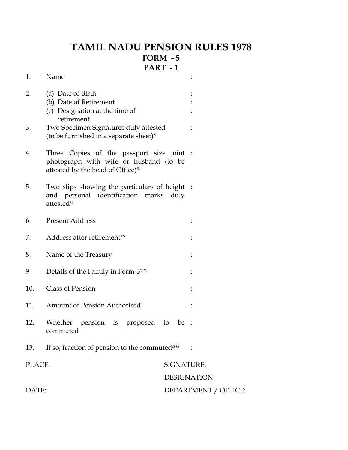## **TAMIL NADU PENSION RULES 1978 FORM - 5 PART - 1**

| 1.     | Name                                                                                                                                |                      |  |
|--------|-------------------------------------------------------------------------------------------------------------------------------------|----------------------|--|
| 2.     | (a) Date of Birth<br>(b) Date of Retirement<br>(c) Designation at the time of<br>retirement                                         |                      |  |
| 3.     | Two Specimen Signatures duly attested<br>(to be furnished in a separate sheet)*                                                     |                      |  |
| 4.     | Three Copies of the passport size joint :<br>photograph with wife or husband (to be<br>attested by the head of Office) <sup>%</sup> |                      |  |
| 5.     | Two slips showing the particulars of height :<br>and personal identification marks<br>attested <sup>@</sup>                         | duly                 |  |
| 6.     | <b>Present Address</b>                                                                                                              |                      |  |
| 7.     | Address after retirement**                                                                                                          |                      |  |
| 8.     | Name of the Treasury                                                                                                                |                      |  |
| 9.     | Details of the Family in Form-3 <sup>%%</sup>                                                                                       |                      |  |
| 10.    | <b>Class of Pension</b>                                                                                                             |                      |  |
| 11.    | <b>Amount of Pension Authorised</b>                                                                                                 |                      |  |
| 12.    | Whether<br>pension is proposed<br>commuted                                                                                          | be :<br>to           |  |
| 13.    | If so, fraction of pension to the commuted <sup>@@</sup>                                                                            |                      |  |
| PLACE: |                                                                                                                                     | <b>SIGNATURE:</b>    |  |
|        |                                                                                                                                     | <b>DESIGNATION:</b>  |  |
| DATE:  |                                                                                                                                     | DEPARTMENT / OFFICE: |  |